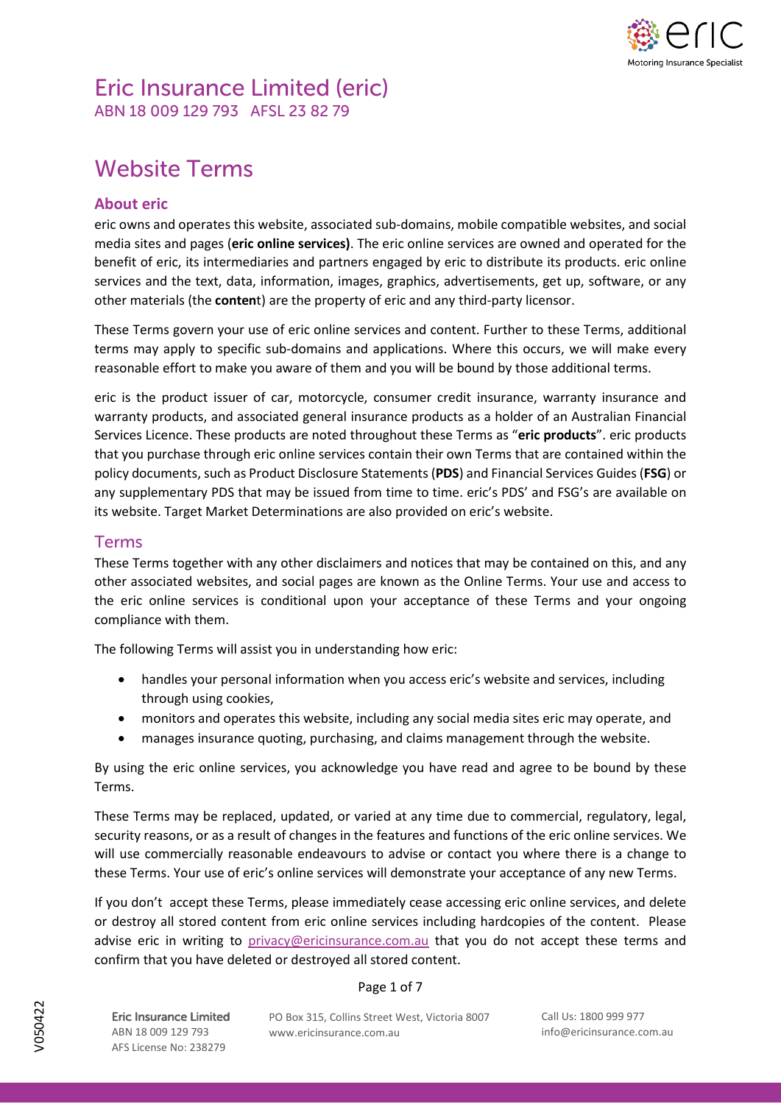

## Eric Insurance Limited (eric) ABN 18 009 129 793 AFSL 23 82 79

# Website Terms

### **About eric**

eric owns and operates this website, associated sub-domains, mobile compatible websites, and social media sites and pages (**eric online services)**. The eric online services are owned and operated for the benefit of eric, its intermediaries and partners engaged by eric to distribute its products. eric online services and the text, data, information, images, graphics, advertisements, get up, software, or any other materials (the **conten**t) are the property of eric and any third-party licensor.

These Terms govern your use of eric online services and content. Further to these Terms, additional terms may apply to specific sub-domains and applications. Where this occurs, we will make every reasonable effort to make you aware of them and you will be bound by those additional terms.

eric is the product issuer of car, motorcycle, consumer credit insurance, warranty insurance and warranty products, and associated general insurance products as a holder of an Australian Financial Services Licence. These products are noted throughout these Terms as "**eric products**". eric products that you purchase through eric online services contain their own Terms that are contained within the policy documents, such as Product Disclosure Statements (**PDS**) and Financial Services Guides (**FSG**) or any supplementary PDS that may be issued from time to time. eric's PDS' and FSG's are available on its website. Target Market Determinations are also provided on eric's website.

### Terms

These Terms together with any other disclaimers and notices that may be contained on this, and any other associated websites, and social pages are known as the Online Terms. Your use and access to the eric online services is conditional upon your acceptance of these Terms and your ongoing compliance with them.

The following Terms will assist you in understanding how eric:

- handles your personal information when you access eric's website and services, including through using cookies,
- monitors and operates this website, including any social media sites eric may operate, and
- manages insurance quoting, purchasing, and claims management through the website.

By using the eric online services, you acknowledge you have read and agree to be bound by these Terms.

These Terms may be replaced, updated, or varied at any time due to commercial, regulatory, legal, security reasons, or as a result of changes in the features and functions of the eric online services. We will use commercially reasonable endeavours to advise or contact you where there is a change to these Terms. Your use of eric's online services will demonstrate your acceptance of any new Terms.

If you don't accept these Terms, please immediately cease accessing eric online services, and delete or destroy all stored content from eric online services including hardcopies of the content. Please advise eric in writing to [privacy@ericinsurance.com.au](mailto:privacy@ericinsurance.com.au) that you do not accept these terms and confirm that you have deleted or destroyed all stored content.

#### Page 1 of 7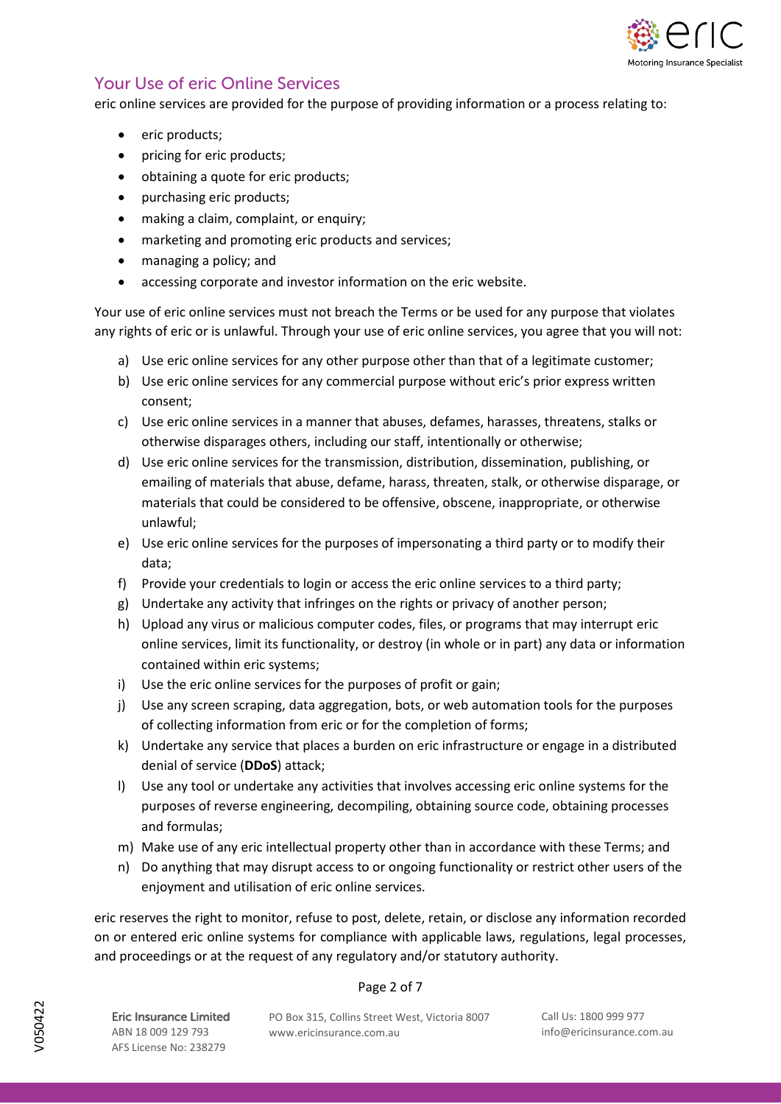

### Your Use of eric Online Services

eric online services are provided for the purpose of providing information or a process relating to:

- eric products;
- pricing for eric products;
- obtaining a quote for eric products;
- purchasing eric products;
- making a claim, complaint, or enquiry;
- marketing and promoting eric products and services;
- managing a policy; and
- accessing corporate and investor information on the eric website.

Your use of eric online services must not breach the Terms or be used for any purpose that violates any rights of eric or is unlawful. Through your use of eric online services, you agree that you will not:

- a) Use eric online services for any other purpose other than that of a legitimate customer;
- b) Use eric online services for any commercial purpose without eric's prior express written consent;
- c) Use eric online services in a manner that abuses, defames, harasses, threatens, stalks or otherwise disparages others, including our staff, intentionally or otherwise;
- d) Use eric online services for the transmission, distribution, dissemination, publishing, or emailing of materials that abuse, defame, harass, threaten, stalk, or otherwise disparage, or materials that could be considered to be offensive, obscene, inappropriate, or otherwise unlawful;
- e) Use eric online services for the purposes of impersonating a third party or to modify their data;
- f) Provide your credentials to login or access the eric online services to a third party;
- g) Undertake any activity that infringes on the rights or privacy of another person;
- h) Upload any virus or malicious computer codes, files, or programs that may interrupt eric online services, limit its functionality, or destroy (in whole or in part) any data or information contained within eric systems;
- i) Use the eric online services for the purposes of profit or gain;
- j) Use any screen scraping, data aggregation, bots, or web automation tools for the purposes of collecting information from eric or for the completion of forms;
- k) Undertake any service that places a burden on eric infrastructure or engage in a distributed denial of service (**DDoS**) attack;
- l) Use any tool or undertake any activities that involves accessing eric online systems for the purposes of reverse engineering, decompiling, obtaining source code, obtaining processes and formulas;
- m) Make use of any eric intellectual property other than in accordance with these Terms; and
- n) Do anything that may disrupt access to or ongoing functionality or restrict other users of the enjoyment and utilisation of eric online services.

eric reserves the right to monitor, refuse to post, delete, retain, or disclose any information recorded on or entered eric online systems for compliance with applicable laws, regulations, legal processes, and proceedings or at the request of any regulatory and/or statutory authority.

#### Page 2 of 7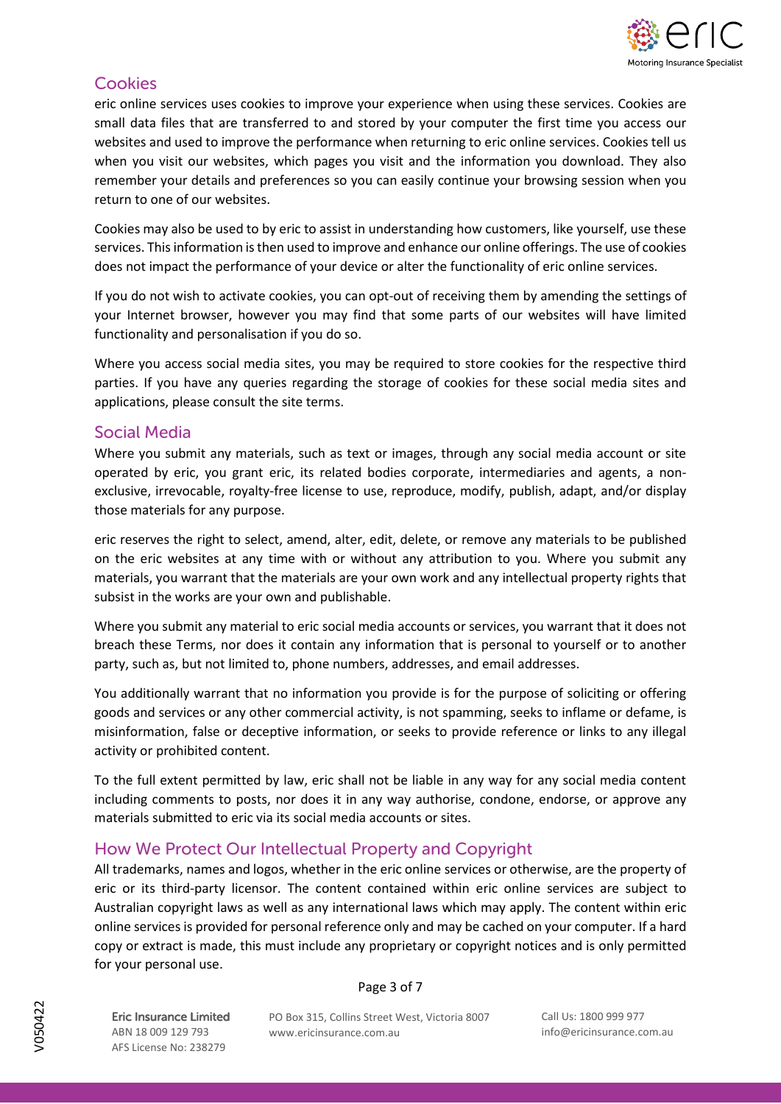

### **Cookies**

eric online services uses cookies to improve your experience when using these services. Cookies are small data files that are transferred to and stored by your computer the first time you access our websites and used to improve the performance when returning to eric online services. Cookies tell us when you visit our websites, which pages you visit and the information you download. They also remember your details and preferences so you can easily continue your browsing session when you return to one of our websites.

Cookies may also be used to by eric to assist in understanding how customers, like yourself, use these services. This information is then used to improve and enhance our online offerings. The use of cookies does not impact the performance of your device or alter the functionality of eric online services.

If you do not wish to activate cookies, you can opt-out of receiving them by amending the settings of your Internet browser, however you may find that some parts of our websites will have limited functionality and personalisation if you do so.

Where you access social media sites, you may be required to store cookies for the respective third parties. If you have any queries regarding the storage of cookies for these social media sites and applications, please consult the site terms.

### Social Media

Where you submit any materials, such as text or images, through any social media account or site operated by eric, you grant eric, its related bodies corporate, intermediaries and agents, a nonexclusive, irrevocable, royalty-free license to use, reproduce, modify, publish, adapt, and/or display those materials for any purpose.

eric reserves the right to select, amend, alter, edit, delete, or remove any materials to be published on the eric websites at any time with or without any attribution to you. Where you submit any materials, you warrant that the materials are your own work and any intellectual property rights that subsist in the works are your own and publishable.

Where you submit any material to eric social media accounts or services, you warrant that it does not breach these Terms, nor does it contain any information that is personal to yourself or to another party, such as, but not limited to, phone numbers, addresses, and email addresses.

You additionally warrant that no information you provide is for the purpose of soliciting or offering goods and services or any other commercial activity, is not spamming, seeks to inflame or defame, is misinformation, false or deceptive information, or seeks to provide reference or links to any illegal activity or prohibited content.

To the full extent permitted by law, eric shall not be liable in any way for any social media content including comments to posts, nor does it in any way authorise, condone, endorse, or approve any materials submitted to eric via its social media accounts or sites.

### How We Protect Our Intellectual Property and Copyright

All trademarks, names and logos, whether in the eric online services or otherwise, are the property of eric or its third-party licensor. The content contained within eric online services are subject to Australian copyright laws as well as any international laws which may apply. The content within eric online services is provided for personal reference only and may be cached on your computer. If a hard copy or extract is made, this must include any proprietary or copyright notices and is only permitted for your personal use.

#### Page 3 of 7

Eric Insurance Limited ABN 18 009 129 793 AFS License No: 238279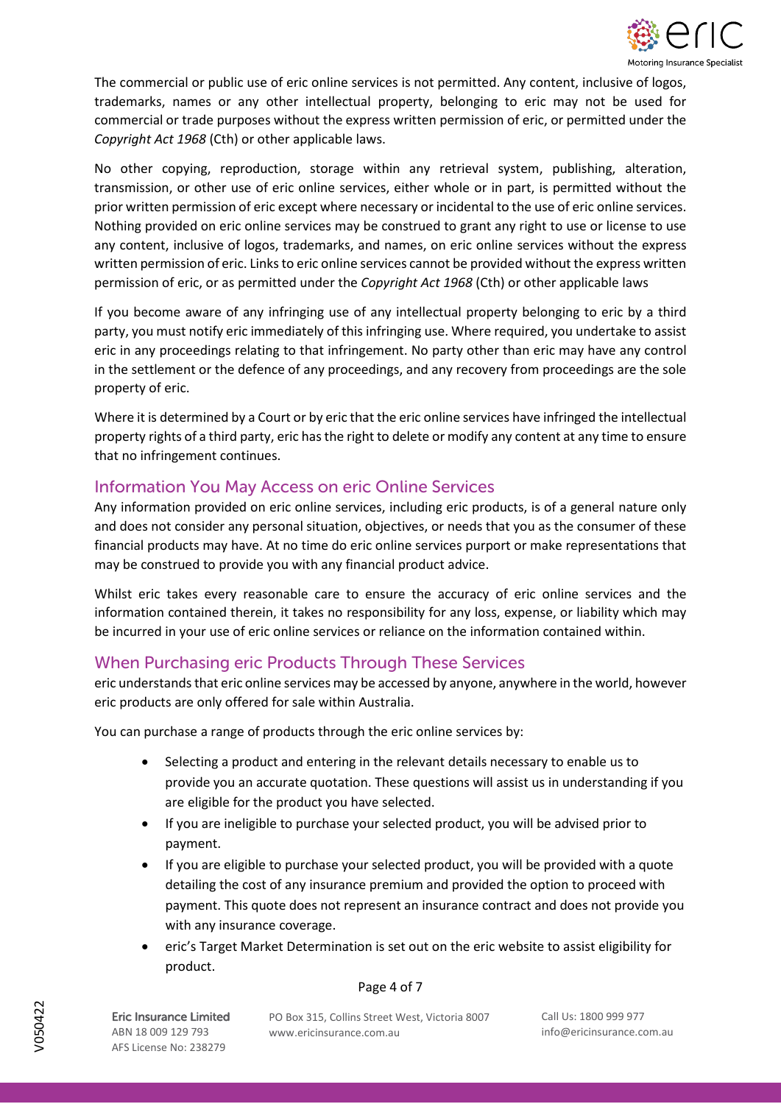

The commercial or public use of eric online services is not permitted. Any content, inclusive of logos, trademarks, names or any other intellectual property, belonging to eric may not be used for commercial or trade purposes without the express written permission of eric, or permitted under the *Copyright Act 1968* (Cth) or other applicable laws.

No other copying, reproduction, storage within any retrieval system, publishing, alteration, transmission, or other use of eric online services, either whole or in part, is permitted without the prior written permission of eric except where necessary or incidental to the use of eric online services. Nothing provided on eric online services may be construed to grant any right to use or license to use any content, inclusive of logos, trademarks, and names, on eric online services without the express written permission of eric. Links to eric online services cannot be provided without the express written permission of eric, or as permitted under the *Copyright Act 1968* (Cth) or other applicable laws

If you become aware of any infringing use of any intellectual property belonging to eric by a third party, you must notify eric immediately of this infringing use. Where required, you undertake to assist eric in any proceedings relating to that infringement. No party other than eric may have any control in the settlement or the defence of any proceedings, and any recovery from proceedings are the sole property of eric.

Where it is determined by a Court or by eric that the eric online services have infringed the intellectual property rights of a third party, eric has the right to delete or modify any content at any time to ensure that no infringement continues.

### Information You May Access on eric Online Services

Any information provided on eric online services, including eric products, is of a general nature only and does not consider any personal situation, objectives, or needs that you as the consumer of these financial products may have. At no time do eric online services purport or make representations that may be construed to provide you with any financial product advice.

Whilst eric takes every reasonable care to ensure the accuracy of eric online services and the information contained therein, it takes no responsibility for any loss, expense, or liability which may be incurred in your use of eric online services or reliance on the information contained within.

### When Purchasing eric Products Through These Services

eric understands that eric online services may be accessed by anyone, anywhere in the world, however eric products are only offered for sale within Australia.

You can purchase a range of products through the eric online services by:

- Selecting a product and entering in the relevant details necessary to enable us to provide you an accurate quotation. These questions will assist us in understanding if you are eligible for the product you have selected.
- If you are ineligible to purchase your selected product, you will be advised prior to payment.
- If you are eligible to purchase your selected product, you will be provided with a quote detailing the cost of any insurance premium and provided the option to proceed with payment. This quote does not represent an insurance contract and does not provide you with any insurance coverage.
- eric's Target Market Determination is set out on the eric website to assist eligibility for product.

#### Page 4 of 7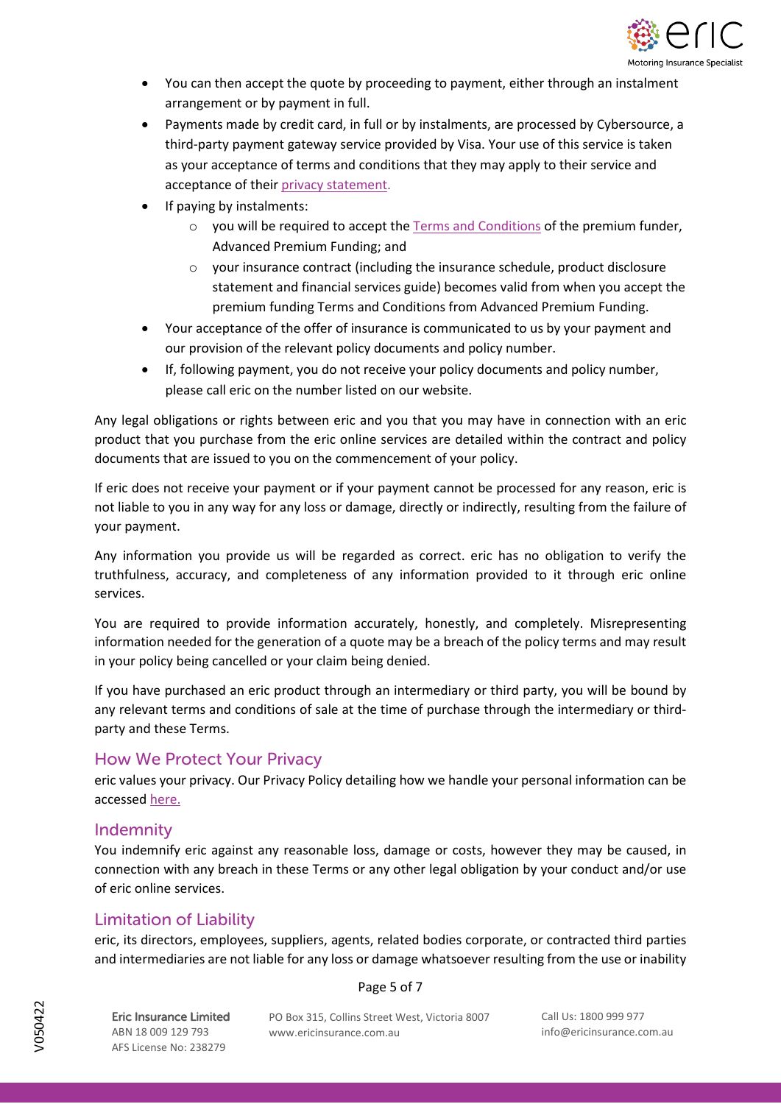

- You can then accept the quote by proceeding to payment, either through an instalment arrangement or by payment in full.
- Payments made by credit card, in full or by instalments, are processed by Cybersource, a third-party payment gateway service provided by Visa. Your use of this service is taken as your acceptance of terms and conditions that they may apply to their service and acceptance of thei[r privacy statement.](https://www.cybersource.com/privacy.html)
- If paying by instalments:
	- $\circ$  you will be required to accept the [Terms and Conditions](https://b2ccampaign.ericinsurance.com.au/Files/TermsAndConditions/Apf_TermsAndConditions_042018.PDF) of the premium funder, Advanced Premium Funding; and
	- $\circ$  vour insurance contract (including the insurance schedule, product disclosure statement and financial services guide) becomes valid from when you accept the premium funding Terms and Conditions from Advanced Premium Funding.
- Your acceptance of the offer of insurance is communicated to us by your payment and our provision of the relevant policy documents and policy number.
- If, following payment, you do not receive your policy documents and policy number, please call eric on the number listed on our website.

Any legal obligations or rights between eric and you that you may have in connection with an eric product that you purchase from the eric online services are detailed within the contract and policy documents that are issued to you on the commencement of your policy.

If eric does not receive your payment or if your payment cannot be processed for any reason, eric is not liable to you in any way for any loss or damage, directly or indirectly, resulting from the failure of your payment.

Any information you provide us will be regarded as correct. eric has no obligation to verify the truthfulness, accuracy, and completeness of any information provided to it through eric online services.

You are required to provide information accurately, honestly, and completely. Misrepresenting information needed for the generation of a quote may be a breach of the policy terms and may result in your policy being cancelled or your claim being denied.

If you have purchased an eric product through an intermediary or third party, you will be bound by any relevant terms and conditions of sale at the time of purchase through the intermediary or thirdparty and these Terms.

### How We Protect Your Privacy

eric values your privacy. Our Privacy Policy detailing how we handle your personal information can be accessed [here.](https://ericinsurance.com.au/wp-content/uploads/2022/04/Eric-Insurance-Limited-Privacy-Policy-V050422.pdf)

### Indemnity

You indemnify eric against any reasonable loss, damage or costs, however they may be caused, in connection with any breach in these Terms or any other legal obligation by your conduct and/or use of eric online services.

### Limitation of Liability

eric, its directors, employees, suppliers, agents, related bodies corporate, or contracted third parties and intermediaries are not liable for any loss or damage whatsoever resulting from the use or inability

#### Page 5 of 7

Eric Insurance Limited ABN 18 009 129 793 AFS License No: 238279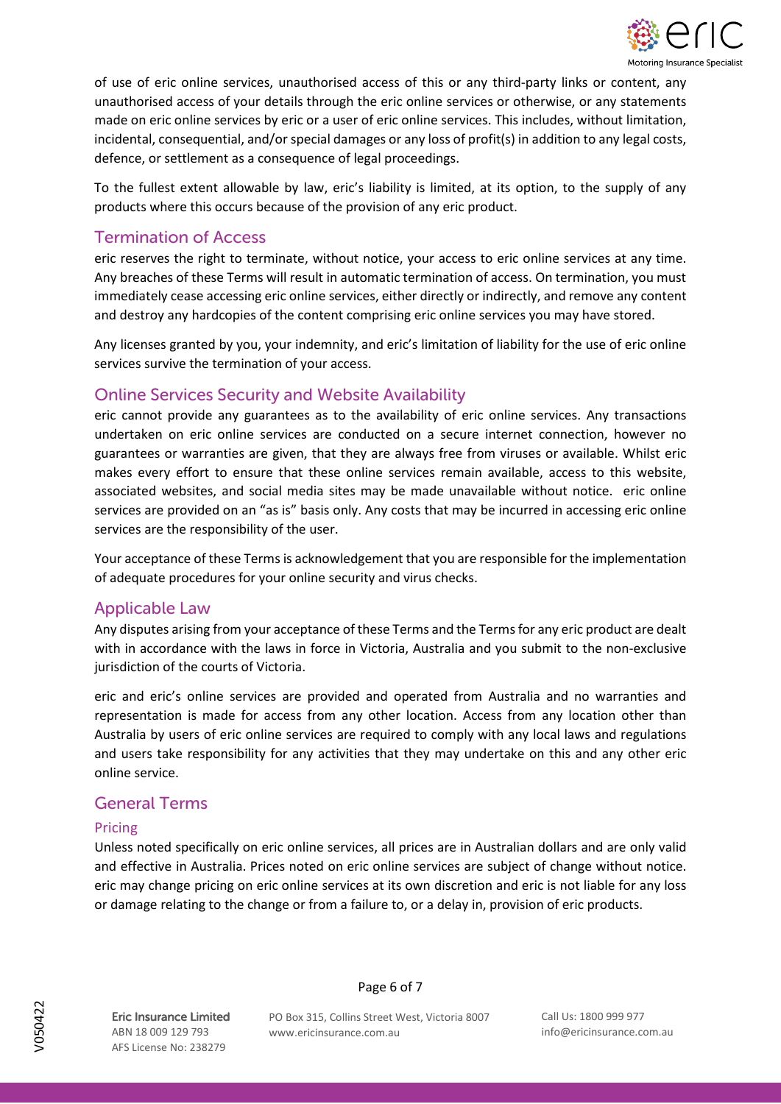

of use of eric online services, unauthorised access of this or any third-party links or content, any unauthorised access of your details through the eric online services or otherwise, or any statements made on eric online services by eric or a user of eric online services. This includes, without limitation, incidental, consequential, and/or special damages or any loss of profit(s) in addition to any legal costs, defence, or settlement as a consequence of legal proceedings.

To the fullest extent allowable by law, eric's liability is limited, at its option, to the supply of any products where this occurs because of the provision of any eric product.

### Termination of Access

eric reserves the right to terminate, without notice, your access to eric online services at any time. Any breaches of these Terms will result in automatic termination of access. On termination, you must immediately cease accessing eric online services, either directly or indirectly, and remove any content and destroy any hardcopies of the content comprising eric online services you may have stored.

Any licenses granted by you, your indemnity, and eric's limitation of liability for the use of eric online services survive the termination of your access.

### Online Services Security and Website Availability

eric cannot provide any guarantees as to the availability of eric online services. Any transactions undertaken on eric online services are conducted on a secure internet connection, however no guarantees or warranties are given, that they are always free from viruses or available. Whilst eric makes every effort to ensure that these online services remain available, access to this website, associated websites, and social media sites may be made unavailable without notice. eric online services are provided on an "as is" basis only. Any costs that may be incurred in accessing eric online services are the responsibility of the user.

Your acceptance of these Terms is acknowledgement that you are responsible for the implementation of adequate procedures for your online security and virus checks.

### Applicable Law

Any disputes arising from your acceptance of these Terms and the Terms for any eric product are dealt with in accordance with the laws in force in Victoria, Australia and you submit to the non-exclusive jurisdiction of the courts of Victoria.

eric and eric's online services are provided and operated from Australia and no warranties and representation is made for access from any other location. Access from any location other than Australia by users of eric online services are required to comply with any local laws and regulations and users take responsibility for any activities that they may undertake on this and any other eric online service.

### General Terms

#### Pricing

Unless noted specifically on eric online services, all prices are in Australian dollars and are only valid and effective in Australia. Prices noted on eric online services are subject of change without notice. eric may change pricing on eric online services at its own discretion and eric is not liable for any loss or damage relating to the change or from a failure to, or a delay in, provision of eric products.

Eric Insurance Limited ABN 18 009 129 793 AFS License No: 238279

Page 6 of 7